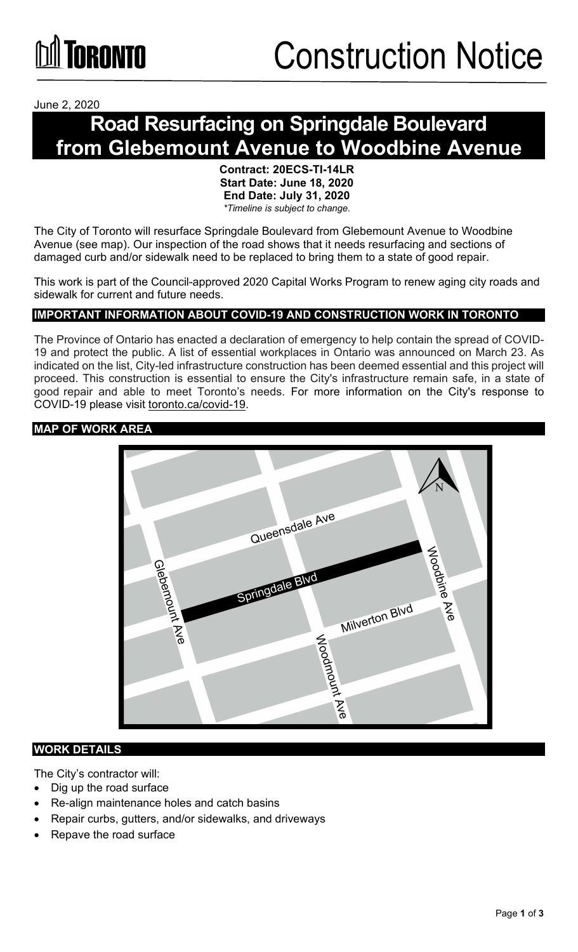June 2, 2020

## **Road Resurfacing on Springdale Boulevard from Glebemount Avenue to Woodbine Avenue**

**Contract: 20ECS-TI-14LR Start Date: June 18, 2020 End Date: July 31, 2020**  *\*Timeline is subject to change.*

The City of Toronto will resurface Springdale Boulevard from Glebemount Avenue to Woodbine Avenue (see map). Our inspection of the road shows that it needs resurfacing and sections of damaged curb and/or sidewalk need to be replaced to bring them to a state of good repair.

This work is part of the Council-approved 2020 Capital Works Program to renew aging city roads and sidewalk for current and future needs.

### **IMPORTANT INFORMATION ABOUT COVID-19 AND CONSTRUCTION WORK IN TORONTO**

The Province of Ontario has enacted a declaration of emergency to help contain the spread of COVID-19 and protect the public. A list of essential workplaces in Ontario was announced on March 23. As indicated on the list, City-led infrastructure construction has been deemed essential and this project will proceed. This construction is essential to ensure the City's infrastructure remain safe, in a state of good repair and able to meet Toronto's needs. For more information on the City's response to COVID-19 please visit [toronto.ca/covid-19.](http://www.toronto.ca/covid-19) 

#### **MAP OF WORK AREA**



#### **WORK DETAILS**

The City's contractor will:

- Dig up the road surface
- Re-align maintenance holes and catch basins
- Repair curbs, gutters, and/or sidewalks, and driveways
- Repave the road surface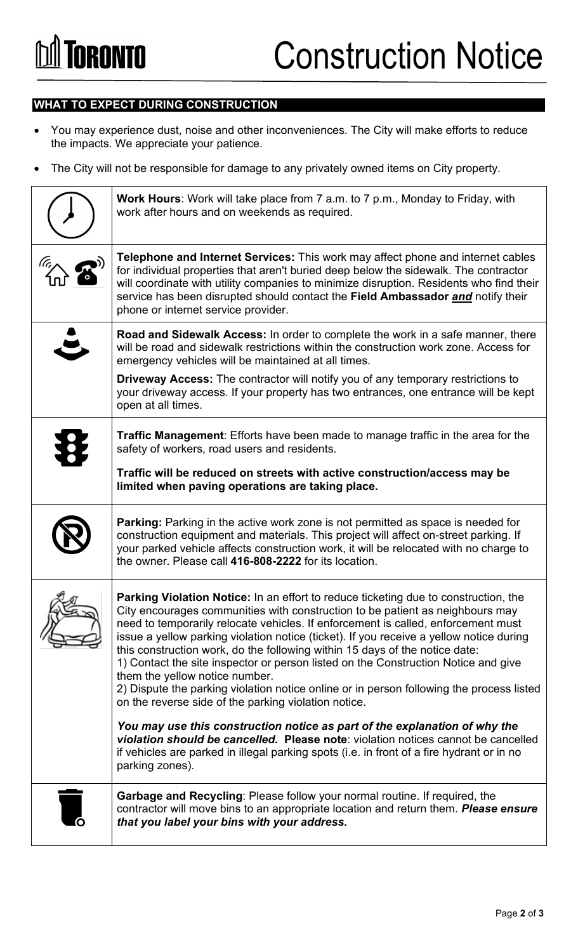### **WHAT TO EXPECT DURING CONSTRUCTION**

- You may experience dust, noise and other inconveniences. The City will make efforts to reduce the impacts. We appreciate your patience.
- The City will not be responsible for damage to any privately owned items on City property.

| <b>Work Hours:</b> Work will take place from 7 a.m. to 7 p.m., Monday to Friday, with<br>work after hours and on weekends as required.                                                                                                                                                                                                                                                                                                                                                                                                                                                                                                                                                                          |
|-----------------------------------------------------------------------------------------------------------------------------------------------------------------------------------------------------------------------------------------------------------------------------------------------------------------------------------------------------------------------------------------------------------------------------------------------------------------------------------------------------------------------------------------------------------------------------------------------------------------------------------------------------------------------------------------------------------------|
| Telephone and Internet Services: This work may affect phone and internet cables<br>for individual properties that aren't buried deep below the sidewalk. The contractor<br>will coordinate with utility companies to minimize disruption. Residents who find their<br>service has been disrupted should contact the Field Ambassador and notify their<br>phone or internet service provider.                                                                                                                                                                                                                                                                                                                    |
| Road and Sidewalk Access: In order to complete the work in a safe manner, there<br>will be road and sidewalk restrictions within the construction work zone. Access for<br>emergency vehicles will be maintained at all times.                                                                                                                                                                                                                                                                                                                                                                                                                                                                                  |
| <b>Driveway Access:</b> The contractor will notify you of any temporary restrictions to<br>your driveway access. If your property has two entrances, one entrance will be kept<br>open at all times.                                                                                                                                                                                                                                                                                                                                                                                                                                                                                                            |
| <b>Traffic Management:</b> Efforts have been made to manage traffic in the area for the<br>safety of workers, road users and residents.                                                                                                                                                                                                                                                                                                                                                                                                                                                                                                                                                                         |
| Traffic will be reduced on streets with active construction/access may be<br>limited when paving operations are taking place.                                                                                                                                                                                                                                                                                                                                                                                                                                                                                                                                                                                   |
| Parking: Parking in the active work zone is not permitted as space is needed for<br>construction equipment and materials. This project will affect on-street parking. If<br>your parked vehicle affects construction work, it will be relocated with no charge to<br>the owner. Please call 416-808-2222 for its location.                                                                                                                                                                                                                                                                                                                                                                                      |
| Parking Violation Notice: In an effort to reduce ticketing due to construction, the<br>City encourages communities with construction to be patient as neighbours may<br>need to temporarily relocate vehicles. If enforcement is called, enforcement must<br>issue a yellow parking violation notice (ticket). If you receive a yellow notice during<br>this construction work, do the following within 15 days of the notice date:<br>1) Contact the site inspector or person listed on the Construction Notice and give<br>them the yellow notice number.<br>2) Dispute the parking violation notice online or in person following the process listed<br>on the reverse side of the parking violation notice. |
| You may use this construction notice as part of the explanation of why the<br>violation should be cancelled. Please note: violation notices cannot be cancelled<br>if vehicles are parked in illegal parking spots (i.e. in front of a fire hydrant or in no<br>parking zones).                                                                                                                                                                                                                                                                                                                                                                                                                                 |
| <b>Garbage and Recycling: Please follow your normal routine. If required, the</b><br>contractor will move bins to an appropriate location and return them. Please ensure<br>that you label your bins with your address.                                                                                                                                                                                                                                                                                                                                                                                                                                                                                         |